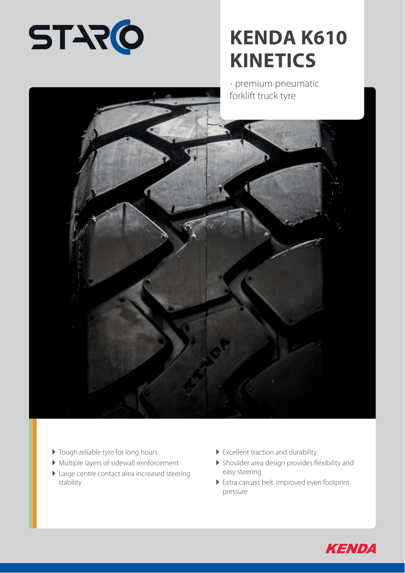

## **KENDA K610 KINETICS**

- premium pneumatic forklift truck tyre



- $\blacktriangleright$  Tough reliable tyre for long hours
- Multiple layers of sidewall reinforcement
- Large centre contact area increased steering stability
- Excellent traction and durability
- $\blacktriangleright$  Shoulder area design provides flexibility and easy steering
- Extra carcass belt. Improved even footprint pressure